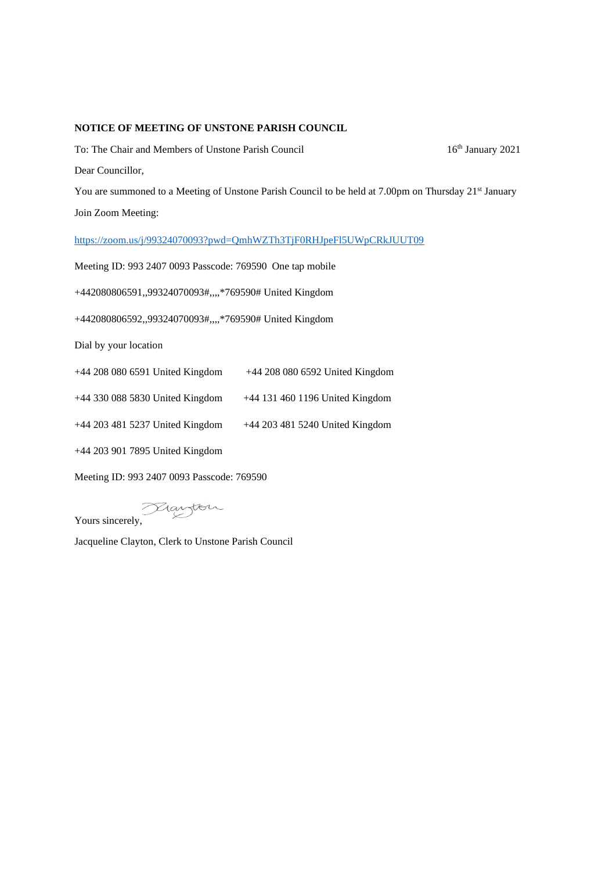## **NOTICE OF MEETING OF UNSTONE PARISH COUNCIL**

To: The Chair and Members of Unstone Parish Council 16th January 2021 Dear Councillor,

You are summoned to a Meeting of Unstone Parish Council to be held at 7.00pm on Thursday 21<sup>st</sup> January Join Zoom Meeting:

<https://zoom.us/j/99324070093?pwd=QmhWZTh3TjF0RHJpeFl5UWpCRkJUUT09>

Meeting ID: 993 2407 0093 Passcode: 769590 One tap mobile

+442080806591,,99324070093#,,,,\*769590# United Kingdom

+442080806592,,99324070093#,,,,\*769590# United Kingdom

Dial by your location

| +44 208 080 6591 United Kingdom | +44 208 080 6592 United Kingdom |
|---------------------------------|---------------------------------|
|---------------------------------|---------------------------------|

+44 330 088 5830 United Kingdom +44 131 460 1196 United Kingdom

+44 203 481 5237 United Kingdom +44 203 481 5240 United Kingdom

+44 203 901 7895 United Kingdom

Meeting ID: 993 2407 0093 Passcode: 769590

Yours sincerely,

Jacqueline Clayton, Clerk to Unstone Parish Council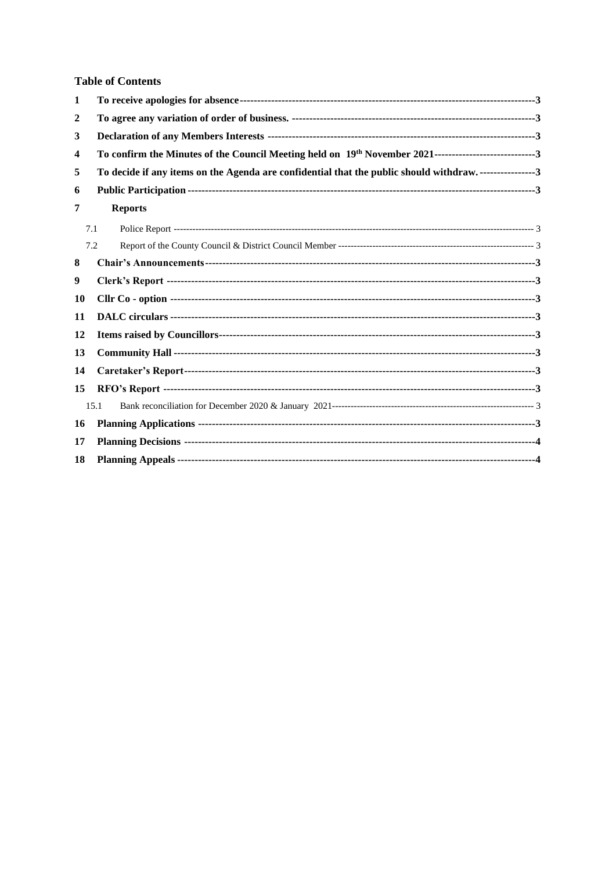## **Table of Contents**

| 1  |                                                                                                           |  |  |  |  |
|----|-----------------------------------------------------------------------------------------------------------|--|--|--|--|
| 2  |                                                                                                           |  |  |  |  |
| 3  |                                                                                                           |  |  |  |  |
| 4  | To confirm the Minutes of the Council Meeting held on 19th November 2021--------------------------------3 |  |  |  |  |
| 5  | To decide if any items on the Agenda are confidential that the public should withdraw3                    |  |  |  |  |
| 6  |                                                                                                           |  |  |  |  |
| 7  | <b>Reports</b>                                                                                            |  |  |  |  |
|    | 7.1                                                                                                       |  |  |  |  |
|    | 7.2                                                                                                       |  |  |  |  |
| 8  |                                                                                                           |  |  |  |  |
| 9  |                                                                                                           |  |  |  |  |
| 10 |                                                                                                           |  |  |  |  |
| 11 |                                                                                                           |  |  |  |  |
| 12 |                                                                                                           |  |  |  |  |
| 13 |                                                                                                           |  |  |  |  |
| 14 |                                                                                                           |  |  |  |  |
| 15 |                                                                                                           |  |  |  |  |
|    | 15.1                                                                                                      |  |  |  |  |
| 16 |                                                                                                           |  |  |  |  |
| 17 |                                                                                                           |  |  |  |  |
| 18 |                                                                                                           |  |  |  |  |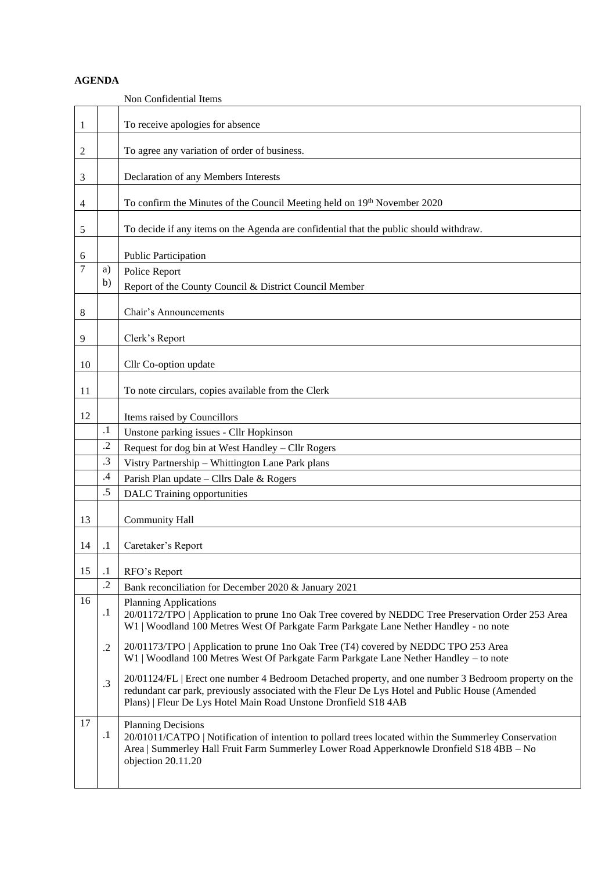## **AGENDA**

<span id="page-2-14"></span><span id="page-2-13"></span><span id="page-2-12"></span><span id="page-2-11"></span><span id="page-2-10"></span><span id="page-2-9"></span><span id="page-2-8"></span><span id="page-2-7"></span><span id="page-2-6"></span><span id="page-2-5"></span><span id="page-2-4"></span><span id="page-2-3"></span><span id="page-2-2"></span><span id="page-2-1"></span><span id="page-2-0"></span>

|    |            | Non Confidential Items                                                                                                                                                                                                                                                     |
|----|------------|----------------------------------------------------------------------------------------------------------------------------------------------------------------------------------------------------------------------------------------------------------------------------|
| 1  |            | To receive apologies for absence                                                                                                                                                                                                                                           |
| 2  |            | To agree any variation of order of business.                                                                                                                                                                                                                               |
| 3  |            | Declaration of any Members Interests                                                                                                                                                                                                                                       |
| 4  |            | To confirm the Minutes of the Council Meeting held on 19th November 2020                                                                                                                                                                                                   |
| 5  |            | To decide if any items on the Agenda are confidential that the public should withdraw.                                                                                                                                                                                     |
| 6  |            | Public Participation                                                                                                                                                                                                                                                       |
| 7  | a)         | Police Report                                                                                                                                                                                                                                                              |
|    | b)         | Report of the County Council & District Council Member                                                                                                                                                                                                                     |
| 8  |            | Chair's Announcements                                                                                                                                                                                                                                                      |
| 9  |            | Clerk's Report                                                                                                                                                                                                                                                             |
| 10 |            | Cllr Co-option update                                                                                                                                                                                                                                                      |
| 11 |            | To note circulars, copies available from the Clerk                                                                                                                                                                                                                         |
| 12 |            | Items raised by Councillors                                                                                                                                                                                                                                                |
|    | $\cdot$    | Unstone parking issues - Cllr Hopkinson                                                                                                                                                                                                                                    |
|    | $\cdot$ .2 | Request for dog bin at West Handley - Cllr Rogers                                                                                                                                                                                                                          |
|    | $\cdot$ 3  | Vistry Partnership - Whittington Lane Park plans                                                                                                                                                                                                                           |
|    | $\cdot$ 4  | Parish Plan update - Cllrs Dale & Rogers                                                                                                                                                                                                                                   |
|    | .5         | <b>DALC</b> Training opportunities                                                                                                                                                                                                                                         |
| 13 |            | <b>Community Hall</b>                                                                                                                                                                                                                                                      |
| 14 | .1         | Caretaker's Report                                                                                                                                                                                                                                                         |
| 15 | $\cdot$ 1  | RFO's Report                                                                                                                                                                                                                                                               |
|    | $\cdot$ .2 | Bank reconciliation for December 2020 & January 2021                                                                                                                                                                                                                       |
| 16 | $\cdot$    | <b>Planning Applications</b><br>20/01172/TPO   Application to prune 1no Oak Tree covered by NEDDC Tree Preservation Order 253 Area<br>W1   Woodland 100 Metres West Of Parkgate Farm Parkgate Lane Nether Handley - no note                                                |
|    | $\cdot$    | 20/01173/TPO   Application to prune 1no Oak Tree (T4) covered by NEDDC TPO 253 Area<br>W1   Woodland 100 Metres West Of Parkgate Farm Parkgate Lane Nether Handley – to note                                                                                               |
|    | .3         | 20/01124/FL   Erect one number 4 Bedroom Detached property, and one number 3 Bedroom property on the<br>redundant car park, previously associated with the Fleur De Lys Hotel and Public House (Amended<br>Plans)   Fleur De Lys Hotel Main Road Unstone Dronfield S18 4AB |
| 17 | $\cdot$    | <b>Planning Decisions</b><br>20/01011/CATPO   Notification of intention to pollard trees located within the Summerley Conservation<br>Area   Summerley Hall Fruit Farm Summerley Lower Road Apperknowle Dronfield S18 4BB - No<br>objection 20.11.20                       |